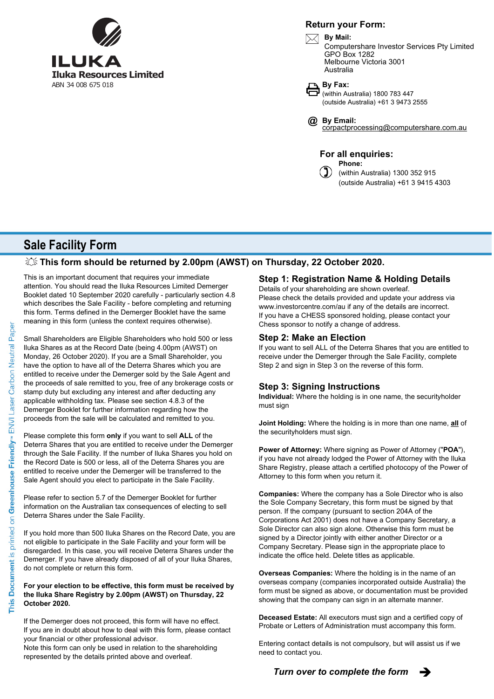

### **Return your Form:**



**By Mail:** Computershare Investor Services Pty Limited GPO Box 1282 Melbourne Victoria 3001 Australia



(within Australia) 1800 783 447 (outside Australia) +61 3 9473 2555

corpactprocessing@computershare.com.au **By Email: @**

**For all enquiries: Phone:**

(within Australia) 1300 352 915 (outside Australia) +61 3 9415 4303

# **Sale Facility Form**

## **This form should be returned by 2.00pm (AWST) on Thursday, 22 October 2020.**

This is an important document that requires your immediate attention. You should read the Iluka Resources Limited Demerger Booklet dated 10 September 2020 carefully - particularly section 4.8 which describes the Sale Facility - before completing and returning this form. Terms defined in the Demerger Booklet have the same meaning in this form (unless the context requires otherwise).

Small Shareholders are Eligible Shareholders who hold 500 or less Iluka Shares as at the Record Date (being 4.00pm (AWST) on Monday, 26 October 2020). If you are a Small Shareholder, you have the option to have all of the Deterra Shares which you are entitled to receive under the Demerger sold by the Sale Agent and the proceeds of sale remitted to you, free of any brokerage costs or stamp duty but excluding any interest and after deducting any applicable withholding tax. Please see section 4.8.3 of the Demerger Booklet for further information regarding how the proceeds from the sale will be calculated and remitted to you.

Please complete this form **only** if you want to sell **ALL** of the Deterra Shares that you are entitled to receive under the Demerger through the Sale Facility. If the number of Iluka Shares you hold on the Record Date is 500 or less, all of the Deterra Shares you are entitled to receive under the Demerger will be transferred to the Sale Agent should you elect to participate in the Sale Facility.

Please refer to section 5.7 of the Demerger Booklet for further information on the Australian tax consequences of electing to sell Deterra Shares under the Sale Facility.

If you hold more than 500 Iluka Shares on the Record Date, you are not eligible to participate in the Sale Facility and your form will be disregarded. In this case, you will receive Deterra Shares under the Demerger. If you have already disposed of all of your Iluka Shares, do not complete or return this form.

#### **For your election to be effective, this form must be received by the Iluka Share Registry by 2.00pm (AWST) on Thursday, 22 October 2020.**

If the Demerger does not proceed, this form will have no effect. If you are in doubt about how to deal with this form, please contact your financial or other professional advisor.

Note this form can only be used in relation to the shareholding represented by the details printed above and overleaf.

#### Details of your shareholding are shown overleaf. **Step 1: Registration Name & Holding Details**

Please check the details provided and update your address via www.investorcentre.com/au if any of the details are incorrect. If you have a CHESS sponsored holding, please contact your Chess sponsor to notify a change of address.

### **Step 2: Make an Election**

If you want to sell ALL of the Deterra Shares that you are entitled to receive under the Demerger through the Sale Facility, complete Step 2 and sign in Step 3 on the reverse of this form.

# **Step 3: Signing Instructions**

**Individual:** Where the holding is in one name, the securityholder must sign

**Joint Holding:** Where the holding is in more than one name, **all** of the securityholders must sign.

**Power of Attorney:** Where signing as Power of Attorney ("**POA**"), if you have not already lodged the Power of Attorney with the Iluka Share Registry, please attach a certified photocopy of the Power of Attorney to this form when you return it.

**Companies:** Where the company has a Sole Director who is also the Sole Company Secretary, this form must be signed by that person. If the company (pursuant to section 204A of the Corporations Act 2001) does not have a Company Secretary, a Sole Director can also sign alone. Otherwise this form must be signed by a Director jointly with either another Director or a Company Secretary. Please sign in the appropriate place to indicate the office held. Delete titles as applicable.

**Overseas Companies:** Where the holding is in the name of an overseas company (companies incorporated outside Australia) the form must be signed as above, or documentation must be provided showing that the company can sign in an alternate manner.

**Deceased Estate:** All executors must sign and a certified copy of Probate or Letters of Administration must accompany this form.

Entering contact details is not compulsory, but will assist us if we need to contact you.

**Turn over to complete the form**